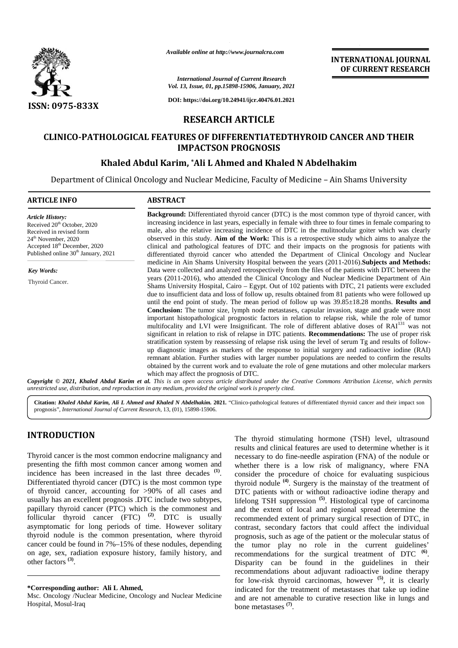

*Available online at http://www.journalcra.com*

# **RESEARCH ARTICLE**

# **CLINICO-PATHOLOGICAL FEATURES OF DIFFERENTIATEDTHYROID CANCER AND THEIR IMPACTSON PROGNOSIS**

## **Khaled Abdul Karim, \*Ali L Ahmed and Khaled N Abdelhakim**

|                                                                                                                                                                                                                      | Available online at http://www.journalcra.com                                                                                                                                                                                                                                                                                                                                                                                                                                                                                                                                                                                                                                                                                                                                                                                                                                                                                                                                                                                                                      |
|----------------------------------------------------------------------------------------------------------------------------------------------------------------------------------------------------------------------|--------------------------------------------------------------------------------------------------------------------------------------------------------------------------------------------------------------------------------------------------------------------------------------------------------------------------------------------------------------------------------------------------------------------------------------------------------------------------------------------------------------------------------------------------------------------------------------------------------------------------------------------------------------------------------------------------------------------------------------------------------------------------------------------------------------------------------------------------------------------------------------------------------------------------------------------------------------------------------------------------------------------------------------------------------------------|
|                                                                                                                                                                                                                      | <b>INTERNATIONAL JOURNAL</b><br>OF CURRENT RESEARCH                                                                                                                                                                                                                                                                                                                                                                                                                                                                                                                                                                                                                                                                                                                                                                                                                                                                                                                                                                                                                |
|                                                                                                                                                                                                                      | <b>International Journal of Current Research</b><br>Vol. 13, Issue, 01, pp.15898-15906, January, 2021                                                                                                                                                                                                                                                                                                                                                                                                                                                                                                                                                                                                                                                                                                                                                                                                                                                                                                                                                              |
| ISSN: 0975-833X                                                                                                                                                                                                      | DOI: https://doi.org/10.24941/ijcr.40476.01.2021                                                                                                                                                                                                                                                                                                                                                                                                                                                                                                                                                                                                                                                                                                                                                                                                                                                                                                                                                                                                                   |
|                                                                                                                                                                                                                      | <b>RESEARCH ARTICLE</b>                                                                                                                                                                                                                                                                                                                                                                                                                                                                                                                                                                                                                                                                                                                                                                                                                                                                                                                                                                                                                                            |
|                                                                                                                                                                                                                      | <b>CLINICO-PATHOLOGICAL FEATURES OF DIFFERENTIATEDTHYROID CANCER AND THEIR</b><br><b>IMPACTSON PROGNOSIS</b>                                                                                                                                                                                                                                                                                                                                                                                                                                                                                                                                                                                                                                                                                                                                                                                                                                                                                                                                                       |
|                                                                                                                                                                                                                      | Khaled Abdul Karim, *Ali L Ahmed and Khaled N Abdelhakim                                                                                                                                                                                                                                                                                                                                                                                                                                                                                                                                                                                                                                                                                                                                                                                                                                                                                                                                                                                                           |
|                                                                                                                                                                                                                      | Department of Clinical Oncology and Nuclear Medicine, Faculty of Medicine - Ain Shams University                                                                                                                                                                                                                                                                                                                                                                                                                                                                                                                                                                                                                                                                                                                                                                                                                                                                                                                                                                   |
| <b>ARTICLE INFO</b>                                                                                                                                                                                                  | <b>ABSTRACT</b>                                                                                                                                                                                                                                                                                                                                                                                                                                                                                                                                                                                                                                                                                                                                                                                                                                                                                                                                                                                                                                                    |
| <b>Article History:</b><br>Received 20 <sup>th</sup> October, 2020<br>Received in revised form<br>24 <sup>th</sup> November, 2020<br>Accepted 18th December, 2020<br>Published online 30 <sup>th</sup> January, 2021 | Background: Differentiated thyroid cancer (DTC) is the most common type of thyroid cancer, with<br>increasing incidence in last years, especially in female with three to four times in female comparing to<br>male, also the relative increasing incidence of DTC in the mulitnodular goiter which was clearly<br>observed in this study. Aim of the Work: This is a retrospective study which aims to analyze the<br>clinical and pathological features of DTC and their impacts on the prognosis for patients with<br>differentiated thyroid cancer who attended the Department of Clinical Oncology and Nuclear                                                                                                                                                                                                                                                                                                                                                                                                                                                |
| Key Words:                                                                                                                                                                                                           | medicine in Ain Shams University Hospital between the years (2011-2016). Subjects and Methods:<br>Data were collected and analyzed retrospectively from the files of the patients with DTC between the                                                                                                                                                                                                                                                                                                                                                                                                                                                                                                                                                                                                                                                                                                                                                                                                                                                             |
| Thyroid Cancer.                                                                                                                                                                                                      | years (2011-2016), who attended the Clinical Oncology and Nuclear Medicine Department of Ain<br>Shams University Hospital, Cairo – Egypt. Out of 102 patients with DTC, 21 patients were excluded<br>due to insufficient data and loss of follow up, results obtained from 81 patients who were followed up<br>until the end point of study. The mean period of follow up was $39.85 \pm 18.28$ months. Results and<br>Conclusion: The tumor size, lymph node metastases, capsular invasion, stage and grade were most<br>important histopathological prognostic factors in relation to relapse risk, while the role of tumor<br>multifocality and LVI were Insignificant. The role of different ablative doses of RAI <sup>131</sup> was not<br>significant in relation to risk of relapse in DTC patients. Recommendations: The use of proper risk<br>stratification system by reassessing of relapse risk using the level of serum Tg and results of follow-<br>up diagnostic images as markers of the response to initial surgery and radioactive iodine (RAI) |

# **INTRODUCTION INTRODUCTION**

Thyroid cancer is the most common endocrine malignancy and presenting the fifth most common cancer among women and Thyroid cancer is the most common endocrine malignancy and presenting the fifth most common cancer among women and incidence has been increased in the last three decades <sup>(1)</sup>. Differentiated thyroid cancer (DTC) is the most common type of thyroid cancer, accounting for >90% of all cases and usually has an excellent prognosis .DTC include two subtypes, papillary thyroid cancer (PTC) which is the commonest and follicular thyroid cancer (FTC) **(2)**. DTC is usually asymptomatic for long periods of time. However solitary thyroid nodule is the common presentation, where thyroid cancer could be found in 7%–15% of these nodules, depending on age, sex, radiation exposure history, family history, and other factors **(3)**. Differentiated thyroid cancer (DTC) is the most common type<br>of thyroid cancer, accounting for >90% of all cases and<br>usually has an excellent prognosis .DTC include two subtypes,<br>papillary thyroid cancer (PTC) which is the

The thyroid stimulating hormone (TSH) level, ultrasound results and clinical features are used to determine whether is it necessary to do fine-needle aspiration (FNA) of the nodule or whether there is a low risk of malignancy, where FNA consider the procedure of choice for evaluating suspicious thyroid nodule **(4)**. Surgery is the mainstay of the treatment of DTC patients with or without radioactive iodine therapy and lifelong TSH suppression **(5)**. Histological type of carcinoma and the extent of local and regional spread determine the recommended extent of primary surgical resection of DTC, in contrast, secondary factors that could affect the individual prognosis, such as age of the patient or the molecular status of the tumor play no role in the current guidelines' recommendations for the surgical treatment of DTC **(6)**. Disparity can be found in the guidelines in their recommendations about adjuvant radioactive iodine therapy for low-risk thyroid carcinomas, however **(5)**, it is clearly for low-risk thyroid carcinomas, however <sup>(5)</sup>, it is clearly indicated for the treatment of metastases that take up iodine and are not amenable to curative resection like in lungs and bone metastases **(7)**. The thyrid cancer is the most common endocrine malignancy and results and chiral features are used to determine whether is it Thyroid cancer is the most common endocrine malignancy and weedssary to do fine-needle aspirati ts and clinical features are used to determine whether is it<br>ssary to do fine-needle aspiration (FNA) of the nodule or<br>her there is a low risk of malignancy, where FNA<br>ider the procedure of choice for evaluating suspicious contrast, secondary factors that could affect the individual<br>prognosis, such as age of the patient or the molecular status of<br>the tumor play no role in the current guidelines'<br>recommendations for the surgical treatment of

**<sup>\*</sup>Corresponding author: Ali L Ahmed, \*Corresponding** 

Msc. Oncology /Nuclear Medicine, Oncology and Nuclear Medicine Hospital, Mosul-Iraq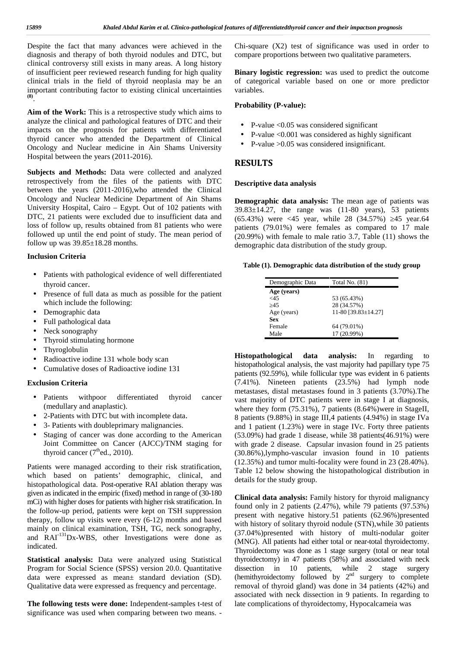Despite the fact that many advances were achieved in the diagnosis and therapy of both thyroid nodules and DTC, but clinical controversy still exists in many areas. A long history of insufficient peer reviewed research funding for high quality clinical trials in the field of thyroid neoplasia may be an important contributing factor to existing clinical uncertainties **(8)**.

**Aim of the Work:** This is a retrospective study which aims to analyze the clinical and pathological features of DTC and their impacts on the prognosis for patients with differentiated thyroid cancer who attended the Department of Clinical Oncology and Nuclear medicine in Ain Shams University Hospital between the years (2011-2016).

**Subjects and Methods:** Data were collected and analyzed retrospectively from the files of the patients with DTC between the years (2011-2016),who attended the Clinical Oncology and Nuclear Medicine Department of Ain Shams University Hospital, Cairo – Egypt. Out of 102 patients with DTC, 21 patients were excluded due to insufficient data and loss of follow up, results obtained from 81 patients who were followed up until the end point of study. The mean period of follow up was  $39.85 \pm 18.28$  months.

#### **Inclusion Criteria**

- Patients with pathological evidence of well differentiated thyroid cancer.
- Presence of full data as much as possible for the patient which include the following:
- Demographic data
- Full pathological data
- Neck sonography
- Thyroid stimulating hormone
- Thyroglobulin
- Radioactive iodine 131 whole body scan
- Cumulative doses of Radioactive iodine 131

### **Exclusion Criteria**

- Patients withpoor differentiated thyroid cancer (medullary and anaplastic).
- 2-Patients with DTC but with incomplete data.
- 3- Patients with doubleprimary malignancies.
- Staging of cancer was done according to the American Joint Committee on Cancer (AJCC)/TNM staging for thyroid cancer  $(7<sup>th</sup>$ ed., 2010).

Patients were managed according to their risk stratification, which based on patients' demographic, clinical, and histopathological data. Post-operative RAI ablation therapy was given as indicated in the empiric (fixed) method in range of (30-180 mCi) with higher doses for patients with higher risk stratification. In the follow-up period, patients were kept on TSH suppression therapy, follow up visits were every (6-12) months and based mainly on clinical examination, TSH, TG, neck sonography, and RAI-131Dx-WBS, other Investigations were done as indicated.

**Statistical analysis:** Data were analyzed using Statistical Program for Social Science (SPSS) version 20.0. Quantitative data were expressed as mean± standard deviation (SD). Qualitative data were expressed as frequency and percentage.

**The following tests were done:** Independent-samples t-test of significance was used when comparing between two means. -

Chi-square (X2) test of significance was used in order to compare proportions between two qualitative parameters.

**Binary logistic regression:** was used to predict the outcome of categorical variable based on one or more predictor variables.

### **Probability (P-value):**

- P-value  $\leq 0.05$  was considered significant
- P-value <0.001 was considered as highly significant
- P-value >0.05 was considered insignificant.

### **RESULTS**

#### **Descriptive data analysis**

**Demographic data analysis:** The mean age of patients was  $39.83 \pm 14.27$ , the range was  $(11-80$  years), 53 patients (65.43%) were <45 year, while 28 (34.57%) 45 year.64 patients (79.01%) were females as compared to 17 male (20.99%) with female to male ratio 3.7, Table (11) shows the demographic data distribution of the study group.

#### **Table (1). Demographic data distribution of the study group**

| Demographic Data | Total No. $(81)$    |
|------------------|---------------------|
| Age (years)      |                     |
| ${<}45$          | 53 (65.43%)         |
| 45               | 28 (34.57%)         |
| Age (years)      | 11-80 [39.83±14.27] |
| Sex              |                     |
| Female           | 64 (79.01%)         |
| Male             | 17 (20.99%)         |

**Histopathological data analysis:** In regarding to histopathological analysis, the vast majority had papillary type 75 patients (92.59%), while follicular type was evident in 6 patients (7.41%). Nineteen patients (23.5%) had lymph node metastases, distal metastases found in 3 patients (3.70%).The vast majority of DTC patients were in stage I at diagnosis, where they form (75.31%), 7 patients (8.64%) were in StageII, 8 patients (9.88%) in stage III,4 patients (4.94%) in stage IVa and 1 patient (1.23%) were in stage IVc. Forty three patients (53.09%) had grade 1 disease, while 38 patients(46.91%) were with grade 2 disease. Capsular invasion found in 25 patients (30.86%),lympho-vascular invasion found in 10 patients (12.35%) and tumor multi-focality were found in 23 (28.40%). Table 12 below showing the histopathological distribution in details for the study group.

**Clinical data analysis:** Family history for thyroid malignancy found only in 2 patients (2.47%), while 79 patients (97.53%) present with negative history.51 patients (62.96%)presented with history of solitary thyroid nodule (STN),while 30 patients (37.04%)presented with history of multi-nodular goiter (MNG). All patients had either total or near-total thyroidectomy. Thyroidectomy was done as 1 stage surgery (total or near total thyroidectomy) in 47 patients (58%) and associated with neck dissection in 10 patients, while 2 stage surgery (hemithyroidectomy followed by  $2<sup>nd</sup>$  surgery to complete removal of thyroid gland) was done in 34 patients (42%) and associated with neck dissection in 9 patients. In regarding to late complications of thyroidectomy, Hypocalcameia was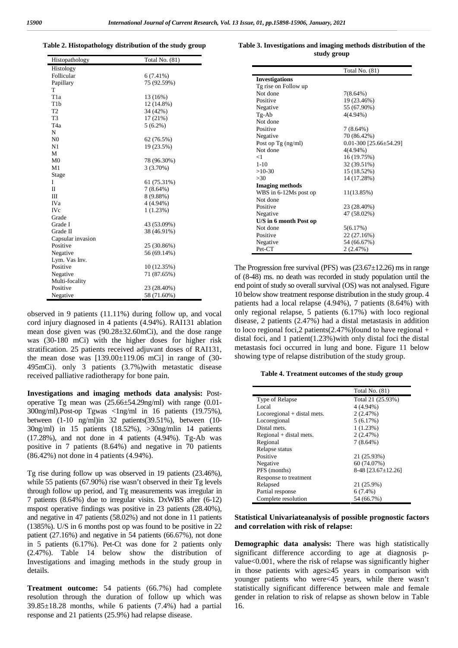**Table 2. Histopathology distribution of the study group**

| Histopathology    | <b>Total No. (81)</b> |
|-------------------|-----------------------|
| Histology         |                       |
| Follicular        | $6(7.41\%)$           |
| Papillary         | 75 (92.59%)           |
| T                 |                       |
| T <sub>1</sub> a  | 13 (16%)              |
| T <sub>1</sub> b  | 12 (14.8%)            |
| T <sub>2</sub>    | 34 (42%)              |
| T <sub>3</sub>    | 17 (21%)              |
| T <sub>4</sub> a  | $5(6.2\%)$            |
| N                 |                       |
| N <sub>0</sub>    | 62 (76.5%)            |
| N1                | 19 (23.5%)            |
| М                 |                       |
| M <sub>0</sub>    | 78 (96.30%)           |
| M1                | 3(3.70%)              |
| Stage             |                       |
| I                 | 61 (75.31%)           |
| $\mathbf{I}$      | $7(8.64\%)$           |
| Ш                 | 8 (9.88%)             |
| <b>IVa</b>        | 4 (4.94%)             |
| <b>IVc</b>        | 1(1.23%)              |
| Grade             |                       |
| Grade I           | 43 (53.09%)           |
| Grade II          | 38 (46.91%)           |
| Capsular invasion |                       |
| Positive          | 25 (30.86%)           |
| Negative          | 56 (69.14%)           |
| Lym. Vas Inv.     |                       |
| Positive          | 10 (12.35%)           |
| Negative          | 71 (87.65%)           |
| Multi-focality    |                       |
| Positive          | 23 (28.40%)           |
| Negative          | 58 (71.60%)           |

observed in 9 patients (11.11%) during follow up, and vocal cord injury diagnosed in 4 patients (4.94%). RAI131 ablation mean dose given was (90.28±32.60mCi), and the dose range was (30-180 mCi) with the higher doses for higher risk stratification. 25 patients received adjuvant doses of RAI131, the mean dose was  $[139.00 \pm 119.06$  mCi in range of  $(30 -$ 495mCi). only 3 patients (3.7%)with metastatic disease received palliative radiotherapy for bone pain.

**Investigations and imaging methods data analysis:** Post operative Tg mean was (25.66±54.29ng/ml) with range (0.01- 300ng/ml).Post-op Tgwas <1ng/ml in 16 patients (19.75%), between (1-10 ng/ml)in 32 patients(39.51%), between (10- 30ng/ml) in 15 patients (18.52%), >30ng/mlin 14 patients  $(17.28\%)$ , and not done in 4 patients  $(4.94\%)$ . Tg-Ab was positive in 7 patients (8.64%) and negative in 70 patients (86.42%) not done in 4 patients (4.94%).

Tg rise during follow up was observed in 19 patients (23.46%), while 55 patients (67.90%) rise wasn't observed in their Tg levels through follow up period, and Tg measurements was irregular in 7 patients (8.64%) due to irregular visits. DxWBS after (6-12) mspost operative findings was positive in 23 patients (28.40%), and negative in 47 patients (58.02%) and not done in 11 patients (1385%). U/S in 6 months post op was found to be positive in 22 patient (27.16%) and negative in 54 patients (66.67%), not done in 5 patients (6.17%). Pet-Ct was done for 2 patients only (2.47%). Table 14 below show the distribution of Investigations and imaging methods in the study group in details.

**Treatment outcome:** 54 patients (66.7%) had complete resolution through the duration of follow up which was 39.85±18.28 months, while 6 patients (7.4%) had a partial response and 21 patients (25.9%) had relapse disease.

**Table 3. Investigations and imaging methods distribution of the study group**

|                        | <b>Total No. (81)</b>      |
|------------------------|----------------------------|
| <b>Investigations</b>  |                            |
| Tg rise on Follow up   |                            |
| Not done               | $7(8.64\%)$                |
| Positive               | 19 (23.46%)                |
| Negative               | 55 (67.90%)                |
| Tg-Ab                  | 4(4.94%)                   |
| Not done               |                            |
| Positive               | $7(8.64\%)$                |
| Negative               | 70 (86.42%)                |
| Post op Tg (ng/ml)     | $0.01 - 300$ [25.66±54.29] |
| Not done               | 4(4.94%)                   |
| $<$ 1                  | 16 (19.75%)                |
| $1 - 10$               | 32 (39.51%)                |
| $>10-30$               | 15 (18.52%)                |
| >30                    | 14 (17.28%)                |
| <b>Imaging methods</b> |                            |
| WBS in 6-12Ms post op  | 11(13.85%)                 |
| Not done               |                            |
| Positive               | 23 (28.40%)                |
| Negative               | 47 (58.02%)                |
| U/S in 6 month Post op |                            |
| Not done               | 5(6.17%)                   |
| Positive               | 22 (27.16%)                |
| Negative               | 54 (66.67%)                |
| Pet-CT                 | 2(2.47%)                   |

The Progression free survival (PFS) was (23.67±12.26) ms in range of (8-48) ms. no death was recorded in study population until the end point of study so overall survival (OS) was not analysed. Figure 10 below show treatment response distribution in the study group. 4 patients had a local relapse (4.94%), 7 patients (8.64%) with only regional relapse, 5 patients (6.17%) with loco regional disease, 2 patients (2.47%) had a distal metastasis in addition to loco regional foci, 2 patients  $(2.47\%)$  found to have regional + distal foci, and 1 patient(1.23%)with only distal foci the distal metastasis foci occurred in lung and bone. Figure 11 below showing type of relapse distribution of the study group.

#### **Table 4. Treatment outcomes of the study group**

|                             | Total No. (81)     |
|-----------------------------|--------------------|
| Type of Relapse             | Total 21 (25.93%)  |
| Local                       | 4 (4.94%)          |
| Locoregional + distal mets. | 2(2.47%)           |
| Locoregional                | 5(6.17%)           |
| Distal mets.                | 1(1.23%)           |
| $Regular + distal$ mets.    | 2(2.47%)           |
| Regional                    | $7(8.64\%)$        |
| Relapse status              |                    |
| Positive                    | 21 (25.93%)        |
| Negative                    | 60 (74.07%)        |
| PFS (months)                | 8-48 [23.67±12.26] |
| Response to treatment       |                    |
| Relapsed                    | 21 (25.9%)         |
| Partial response            | $6(7.4\%)$         |
| Complete resolution         | 54 (66.7%)         |

**Statistical Univariateanalysis of possible prognostic factors and correlation with risk of relapse:**

**Demographic data analysis:** There was high statistically significant difference according to age at diagnosis p value<0.001, where the risk of relapse was significantly higher in those patients with ages 45 years in comparison with younger patients who were<45 years, while there wasn't statistically significant difference between male and female gender in relation to risk of relapse as shown below in Table 16.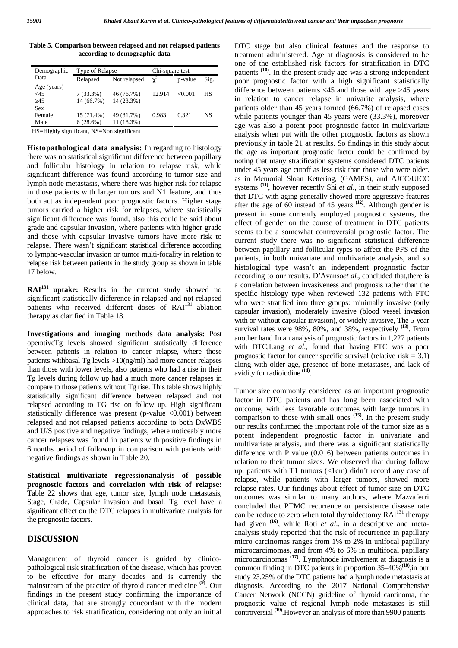**Table 5. Comparison between relapsed and not relapsed patients according to demographic data**

| Demographic | Type of Relapse |              | Chi-square test |         |           |
|-------------|-----------------|--------------|-----------------|---------|-----------|
| Data        | Relapsed        | Not relapsed | R               | p-value | Sig.      |
| Age (years) |                 |              |                 |         |           |
| <45         | $7(33.3\%)$     | 46 (76.7%)   | 12.914          | < 0.001 | <b>HS</b> |
| 45          | 14 (66.7%)      | 14 (23.3%)   |                 |         |           |
| Sex         |                 |              |                 |         |           |
| Female      | 15 (71.4%)      | 49 (81.7%)   | 0.983           | 0.321   | <b>NS</b> |
| Male        | 6(28.6%)        | 11 (18.3%)   |                 |         |           |

HS=Highly significant, NS=Non significant

**Histopathological data analysis:** In regarding to histology there was no statistical significant difference between papillary and follicular histology in relation to relapse risk, while significant difference was found according to tumor size and lymph node metastasis, where there was higher risk for relapse in those patients with larger tumors and N1 feature, and thus both act as independent poor prognostic factors. Higher stage tumors carried a higher risk for relapses, where statistically significant difference was found, also this could be said about grade and capsular invasion, where patients with higher grade and those with capsular invasive tumors have more risk to relapse. There wasn't significant statistical difference according to lympho-vascular invasion or tumor multi-focality in relation to relapse risk between patients in the study group as shown in table 17 below.

**RAI<sup>131</sup> uptake:** Results in the current study showed no significant statistically difference in relapsed and not relapsed patients who received different doses of RAI<sup>131</sup> ablation therapy as clarified in Table 18.

**Investigations and imaging methods data analysis:** Post operativeTg levels showed significant statistically difference between patients in relation to cancer relapse, where those patients withbasal Tg levels >10(ng/ml) had more cancer relapses than those with lower levels, also patients who had a rise in their avidity for radioiodine <sup>(14)</sup>. Tg levels during follow up had a much more cancer relapses in compare to those patients without Tg rise. This table shows highly statistically significant difference between relapsed and not relapsed according to TG rise on follow up. High significant statistically difference was present (p-value  $\langle 0.001 \rangle$ ) between relapsed and not relapsed patients according to both DxWBS and U/S positive and negative findings, where noticeably more cancer relapses was found in patients with positive findings in 6months period of followup in comparison with patients with negative findings as shown in Table 20.

**Statistical multivariate regressionanalysis of possible prognostic factors and correlation with risk of relapse:** Table 22 shows that age, tumor size, lymph node metastasis, Stage, Grade, Capsular invasion and basal. Tg level have a significant effect on the DTC relapses in multivariate analysis for the prognostic factors.

#### **DISCUSSION**

Management of thyroid cancer is guided by clinico pathological risk stratification of the disease, which has proven to be effective for many decades and is currently the mainstream of the practice of thyroid cancer medicine **(9)**. Our findings in the present study confirming the importance of clinical data, that are strongly concordant with the modern approaches to risk stratification, considering not only an initial

DTC stage but also clinical features and the response to treatment administered. Age at diagnosis is considered to be one of the established risk factors for stratification in DTC patients **(10)**. In the present study age was a strong independent poor prognostic factor with a high significant statistically difference between patients  $\langle 45 \rangle$  and those with age  $\langle 45 \rangle$  years in relation to cancer relapse in univarite analysis, where patients older than 45 years formed (66.7%) of relapsed cases while patients younger than 45 years were  $(33.3\%)$ , moreover age was also a potent poor prognostic factor in multivariate analysis when put with the other prognostic factors as shown previously in table 21 at results. So findings in this study about the age as important prognostic factor could be confirmed by noting that many stratification systems considered DTC patients under 45 years age cutoff as less risk than those who were older. as in Memorial Sloan Kettering, (GAMES), and AJCC/UICC systems **(11)**, however recently Shi *et al*., in their study supposed that DTC with aging generally showed more aggressive features after the age of 60 instead of 45 years **(12)**. Although gender is present in some currently employed prognostic systems, the effect of gender on the course of treatment in DTC patients seems to be a somewhat controversial prognostic factor. The current study there was no significant statistical difference between papillary and follicular types to affect the PFS of the patients, in both univariate and multivariate analysis, and so histological type wasn't an independent prognostic factor according to our results. D'Avanso*et al*., concluded that,there is a correlation between invasiveness and prognosis rather than the specific histology type when reviewed 132 patients with FTC who were stratified into three groups: minimally invasive (only capsular invasion), moderately invasive (blood vessel invasion with or without capsular invasion), or widely invasive, The 5-year survival rates were 98%, 80%, and 38%, respectively **(13)**. From another hand In an analysis of prognostic factors in 1,227 patients with DTC,Lang *et al*., found that having FTC was a poor prognostic factor for cancer specific survival (relative risk  $= 3.1$ ) along with older age, presence of bone metastases, and lack of

Tumor size commonly considered as an important prognostic factor in DTC patients and has long been associated with outcome, with less favorable outcomes with large tumors in comparison to those with small ones **(15)**. In the present study our results confirmed the important role of the tumor size as a potent independent prognostic factor in univariate and multivariate analysis, and there was a significant statistically difference with P value (0.016) between patients outcomes in relation to their tumor sizes. We observed that during follow up, patients with T1 tumors (1cm) didn't record any case of relapse, while patients with larger tumors, showed more relapse rates. Our findings about effect of tumor size on DTC outcomes was similar to many authors, where Mazzaferri concluded that PTMC recurrence or persistence disease rate can be reduce to zero when total thyroidectomy  $RAI<sup>131</sup>$  therapy had given <sup>(16)</sup>, while Roti *et al.*, in a descriptive and metaanalysis study reported that the risk of recurrence in papillary micro carcinomas ranges from 1% to 2% in unifocal papillary microcarcimomas, and from 4% to 6% in multifocal papillary microcarcinomas **(17)**. Lymphnode involvement at diagnosis is a common finding in DTC patients in proportion 35–40%**(18)**,in our study 23.25% of the DTC patients had a lymph node metastasis at diagnosis. According to the 2017 National Comprehensive Cancer Network (NCCN) guideline of thyroid carcinoma, the prognostic value of regional lymph node metastases is still controversial **(19)**.However an analysis of more than 9900 patients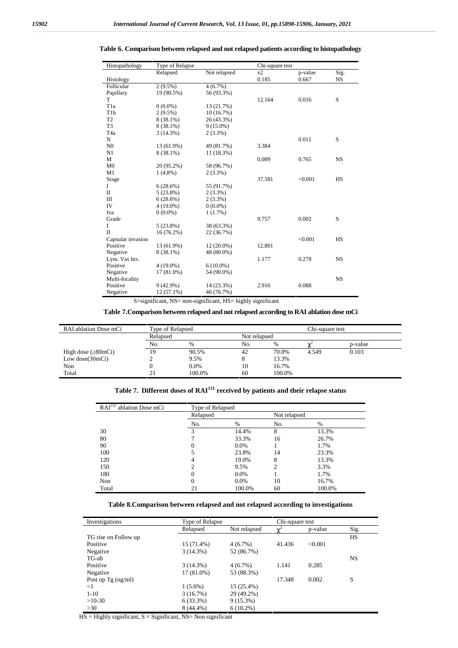| Histopathology    | Type of Relapse |              | Chi-square test |         |           |
|-------------------|-----------------|--------------|-----------------|---------|-----------|
|                   | Relapsed        | Not relapsed | x2              | p-value | Sig.      |
| Histology         |                 |              | 0.185           | 0.667   | <b>NS</b> |
| Follicular        | $2(9.5\%)$      | $4(6.7\%)$   |                 |         |           |
| Papillary         | 19 (90.5%)      | 56 (93.3%)   |                 |         |           |
| T                 |                 |              | 12.164          | 0.016   | S         |
| T <sub>1</sub> a  | $0(0.0\%)$      | 13 (21.7%)   |                 |         |           |
| T <sub>1</sub> b  | $2(9.5\%)$      | 10(16.7%)    |                 |         |           |
| T <sub>2</sub>    | 8 (38.1%)       | 26 (43.3%)   |                 |         |           |
| T <sub>3</sub>    | 8 (38.1%)       | $9(15.0\%)$  |                 |         |           |
| T <sub>4</sub> a  | 3(14.3%)        | $2(3.3\%)$   |                 |         |           |
| N                 |                 |              |                 | 0.011   | S         |
| N <sub>0</sub>    | 13 (61.9%)      | 49 (81.7%)   | 3.384           |         |           |
| N1                | 8 (38.1%)       | 11 (18.3%)   |                 |         |           |
| M                 |                 |              | 0.089           | 0.765   | <b>NS</b> |
| M <sub>0</sub>    | 20 (95.2%)      | 58 (96.7%)   |                 |         |           |
| M1                | $1(4.8\%)$      | $2(3.3\%)$   |                 |         |           |
| Stage             |                 |              | 37.581          | < 0.001 | <b>HS</b> |
| L                 | 6(28.6%)        | 55 (91.7%)   |                 |         |           |
| П                 | 5(23.8%)        | $2(3.3\%)$   |                 |         |           |
| Ш                 | 6(28.6%)        | $2(3.3\%)$   |                 |         |           |
| IV                | $4(19.0\%)$     | $0(0.0\%)$   |                 |         |           |
| Iva               | $0(0.0\%)$      | 1(1.7%)      |                 |         |           |
| Grade             |                 |              | 9.757           | 0.002   | S         |
| I                 | 5(23.8%)        | 38 (63.3%)   |                 |         |           |
| $\Pi$             | $16(76.2\%)$    | 22 (36.7%)   |                 |         |           |
| Capsular invasion |                 |              |                 | < 0.001 | <b>HS</b> |
| Positive          | 13 (61.9%)      | $12(20.0\%)$ | 12.801          |         |           |
| Negative          | $8(38.1\%)$     | 48 (80.0%)   |                 |         |           |
| Lym. Vas Inv.     |                 |              | 1.177           | 0.278   | <b>NS</b> |
| Positive          | $4(19.0\%)$     | $6(10.0\%)$  |                 |         |           |
| Negative          | 17 (81.0%)      | 54 (90.0%)   |                 |         |           |
| Multi-focality    |                 |              |                 |         | <b>NS</b> |
| Positive          | 9(42.9%)        | 14 (23.3%)   | 2.916           | 0.088   |           |
| Negative          | $12(57.1\%)$    | 46 (76.7%)   |                 |         |           |

### **Table 6. Comparison between relapsed and not relapsed patients according to histopathology**

S=significant, NS= non-significant, HS= highly significant

### **Table 7.Comparison between relapsed and not relapsed according to RAI ablation dose mCi**

| RAI ablation Dose mCi | Type of Relapsed<br>Chi-square test |              |     |        |       |         |  |
|-----------------------|-------------------------------------|--------------|-----|--------|-------|---------|--|
|                       | Relapsed                            | Not relapsed |     |        |       |         |  |
|                       | No.                                 | $\%$         | No. | $\%$   | R     | p-value |  |
| High dose (80mCi)     | 19                                  | 90.5%        | 42  | 70.0%  | 4.549 | 0.103   |  |
| Low $dose(30mCi)$     |                                     | 9.5%         |     | 13.3%  |       |         |  |
| Non                   |                                     | 0.0%         | 10  | 16.7%  |       |         |  |
| Total                 | 21                                  | 100.0%       | 60  | 100.0% |       |         |  |

# **Table 7. Different doses of RAI<sup>131</sup> received by patients and their relapse status**

| RAI <sup>131</sup> ablation Dose mCi | Type of Relapsed |         |                |        |
|--------------------------------------|------------------|---------|----------------|--------|
|                                      | Relapsed         |         | Not relapsed   |        |
|                                      | No.              | %       | No.            | %      |
| 30                                   | 3                | 14.4%   | 8              | 13.3%  |
| 80                                   |                  | 33.3%   | 16             | 26.7%  |
| 90                                   | 0                | $0.0\%$ |                | 1.7%   |
| 100                                  |                  | 23.8%   | 14             | 23.3%  |
| 120                                  | 4                | 19.0%   | 8              | 13.3%  |
| 150                                  | ↑                | 9.5%    | $\mathfrak{D}$ | 3.3%   |
| 180                                  | 0                | $0.0\%$ |                | 1.7%   |
| Non                                  | 0                | $0.0\%$ | 10             | 16.7%  |
| Total                                | 21               | 100.0%  | 60             | 100.0% |

# **Table 8.Comparison between relapsed and not relapsed according to investigations**

| Investigations       | Type of Relapse |              | Chi-square test |         |           |
|----------------------|-----------------|--------------|-----------------|---------|-----------|
|                      | Relapsed        | Not relapsed | R               | p-value | Sig.      |
| TG rise on Follow up |                 |              |                 |         | <b>HS</b> |
| Positive             | 15 (71.4%)      | 4(6.7%)      | 41.436          | < 0.001 |           |
| Negative             | 3(14.3%)        | 52 (86.7%)   |                 |         |           |
| TG-ab                |                 |              |                 |         | <b>NS</b> |
| Positive             | 3(14.3%)        | $4(6.7\%)$   | 1.141           | 0.285   |           |
| Negative             | 17 (81.0%)      | 53 (88.3%)   |                 |         |           |
| Post op Tg $(ng/ml)$ |                 |              | 17.348          | 0.002   | S         |
| $<$ 1                | $1(5.6\%)$      | 15 (25.4%)   |                 |         |           |
| $1-10$               | 3(16.7%)        | 29 (49.2%)   |                 |         |           |
| $>10-30$             | 6(33.3%)        | $9(15.3\%)$  |                 |         |           |
| >30                  | 8 (44.4%)       | $6(10.2\%)$  |                 |         |           |

 $HS =$  Highly significant,  $S =$  Significant,  $NS =$  Non significant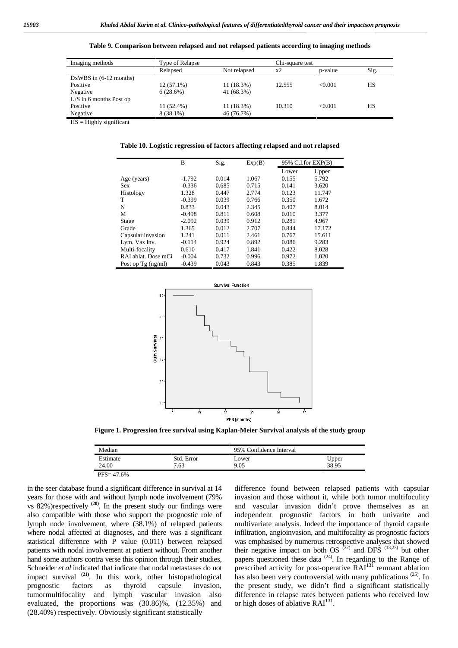| Imaging methods                  | Type of Relapse |              |        | Chi-square test |      |  |
|----------------------------------|-----------------|--------------|--------|-----------------|------|--|
|                                  | Relapsed        | Not relapsed | $x^2$  | p-value         | Sig. |  |
| DxWBS in $(6-12 \text{ months})$ |                 |              |        |                 |      |  |
| Positive                         | $12(57.1\%)$    | 11 (18.3%)   | 12.555 | < 0.001         | HS   |  |
| Negative                         | 6(28.6%)        | 41 (68.3%)   |        |                 |      |  |
| $U/S$ in 6 months Post op        |                 |              |        |                 |      |  |
| Positive                         | 11 (52.4%)      | 11 (18.3%)   | 10.310 | < 0.001         | HS   |  |
| Negative                         | 8 (38.1%)       | 46 (76.7%)   |        |                 |      |  |

**Table 9. Comparison between relapsed and not relapsed patients according to imaging methods**

HS = Highly significant

**Table 10. Logistic regression of factors affecting relapsed and not relapsed**

|                     | B        | Sig.  | Exp(B) |       | 95% C.I.for EXP(B) |
|---------------------|----------|-------|--------|-------|--------------------|
|                     |          |       |        | Lower | Upper              |
| Age (years)         | $-1.792$ | 0.014 | 1.067  | 0.155 | 5.792              |
| Sex                 | $-0.336$ | 0.685 | 0.715  | 0.141 | 3.620              |
| Histology           | 1.328    | 0.447 | 2.774  | 0.123 | 11.747             |
| T                   | $-0.399$ | 0.039 | 0.766  | 0.350 | 1.672              |
| N                   | 0.833    | 0.043 | 2.345  | 0.407 | 8.014              |
| М                   | $-0.498$ | 0.811 | 0.608  | 0.010 | 3.377              |
| Stage               | $-2.092$ | 0.039 | 0.912  | 0.281 | 4.967              |
| Grade               | 1.365    | 0.012 | 2.707  | 0.844 | 17.172             |
| Capsular invasion   | 1.241    | 0.011 | 2.461  | 0.767 | 15.611             |
| Lym. Vas Inv.       | $-0.114$ | 0.924 | 0.892  | 0.086 | 9.283              |
| Multi-focality      | 0.610    | 0.417 | 1.841  | 0.422 | 8.028              |
| RAI ablat. Dose mCi | $-0.004$ | 0.732 | 0.996  | 0.972 | 1.020              |
| Post op Tg (ng/ml)  | $-0.439$ | 0.043 | 0.843  | 0.385 | 1.839              |



**Figure 1. Progression free survival using Kaplan-Meier Survival analysis of the study group**

| Median        |            | 95% Confidence Interval |       |
|---------------|------------|-------------------------|-------|
| Estimate      | Std. Error | Lower                   | Upper |
| 24.00         | 7.63       | 9.05                    | 38.95 |
| $PFS = 47.6%$ |            |                         |       |

in the seer database found a significant difference in survival at 14 years for those with and without lymph node involvement (79% vs 82%)respectively **(20)**. In the present study our findings were also compatible with those who support the prognostic role of lymph node involvement, where (38.1%) of relapsed patients where nodal affected at diagnoses, and there was a significant statistical difference with P value (0.011) between relapsed patients with nodal involvement at patient without. From another hand some authors contra verse this opinion through their studies, Schneider *et al* indicated that indicate that nodal metastases do not impact survival <sup>(21)</sup>. In this work, other histopathological prognostic factors as thyroid capsule invasion. prognostic factors as thyroid capsule invasion, tumormultifocality and lymph vascular invasion also evaluated, the proportions was (30.86)%, (12.35%) and (28.40%) respectively. Obviously significant statistically

difference found between relapsed patients with capsular invasion and those without it, while both tumor multifoculity and vascular invasion didn't prove themselves as an independent prognostic factors in both univarite and multivariate analysis. Indeed the importance of thyroid capsule infiltration, angioinvasion, and multifocality as prognostic factors was emphasised by numerous retrospective analyses that showed their negative impact on both OS  $(22)$  and DFS  $(13,23)$  but other papers questioned these data  $(24)$ . In regarding to the Range of prescribed activity for post-operative RAI<sup>131</sup> remnant ablation has also been very controversial with many publications  $(25)$ . In the present study, we didn't find a significant statistically difference in relapse rates between patients who received low or high doses of ablative RAI<sup>131</sup>.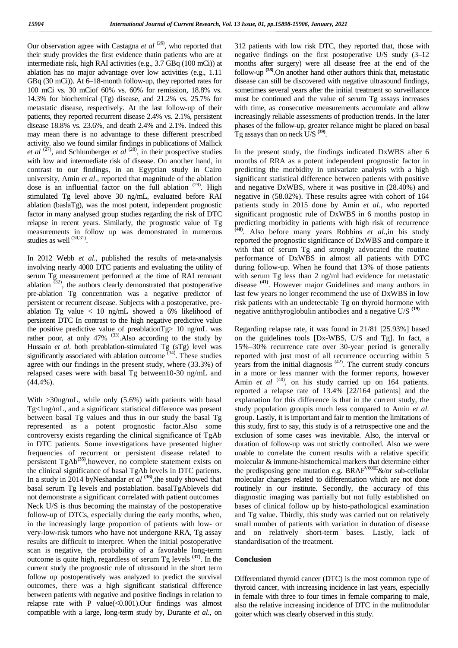Our observation agree with Castagna *et al* <sup>(26)</sup>, who reported that their study provides the first evidence thatin patients who are at intermediate risk, high RAI activities (e.g., 3.7 GBq (100 mCi)) at ablation has no major advantage over low activities (e.g., 1.11 GBq (30 mCi)). At 6–18-month follow-up, they reported rates for 100 mCi vs. 30 mCiof 60% vs. 60% for remission, 18.8% vs. 14.3% for biochemical (Tg) disease, and 21.2% vs. 25.7% for metastatic disease, respectively. At the last follow-up of their patients, they reported recurrent disease 2.4% vs. 2.1%, persistent disease 18.8% vs. 23.6%, and death 2.4% and 2.1%. Indeed this may mean there is no advantage to these different prescribed activity. also we found similar findings in publications of Mallick *et al*  $^{(27)}$ , and Schlumberger *et al*  $^{(28)}$ , in their prospective studies with low and intermediate risk of disease. On another hand, in contrast to our findings, in an Egyptian study in Cairo university, Amin *et al*., reported that magnitude of the ablation dose is an influential factor on the full ablation  $(29)$ . High stimulated Tg level above 30 ng/mL, evaluated before RAI ablation (baslaTg), was the most potent, independent prognostic factor in many analysed group studies regarding the risk of DTC relapse in recent years. Similarly, the prognostic value of Tg measurements in follow up was demonstrated in numerous studies as well  $^{(30,31)}$ .

In 2012 Webb *et al*., published the results of meta-analysis involving nearly 4000 DTC patients and evaluating the utility of serum Tg measurement performed at the time of RAI remnant ablation  $(32)$ , the authors clearly demonstrated that postoperative pre-ablation Tg concentration was a negative predictor of persistent or recurrent disease. Subjects with a postoperative, pre ablation Tg value < 10 ng/mL showed a 6% likelihood of persistent DTC In contrast to the high negative predictive value the positive predictive value of preablationTg> 10 ng/mL was rather poor, at only 47% <sup>(33)</sup>. Also according to the study by Hussain *et al.* both preablation-stimulated Tg (sTg) level was significantly associated with ablation outcome  $(34)$ . These studies agree with our findings in the present study, where (33.3%) of relapsed cases were with basal Tg between10-30 ng/mL and (44.4%).

With >30ng/mL, while only (5.6%) with patients with basal Tg<1ng/mL, and a significant statistical difference was present between basal Tg values and thus in our study the basal Tg represented as a potent prognostic factor.Also some controversy exists regarding the clinical significance of TgAb in DTC patients. Some investigations have presented higher frequencies of recurrent or persistent disease related to persistent TgAb**(35)**,however, no complete statement exists on the clinical significance of basal TgAb levels in DTC patients. In a study in 2014 byNeshandar *et al* <sup>(36)</sup>, the study showed that basal serum Tg levels and postablation. basalTgAblevels did not demonstrate a significant correlated with patient outcomes Neck U/S is thus becoming the mainstay of the postoperative follow-up of DTCs, especially during the early months, when, in the increasingly large proportion of patients with low- or very-low-risk tumors who have not undergone RRA, Tg assay results are difficult to interpret. When the initial postoperative scan is negative, the probability of a favorable long-term outcome is quite high, regardless of serum Tg levels **(37)**. In the current study the prognostic rule of ultrasound in the short term follow up postoperatively was analyzed to predict the survival outcomes, there was a high significant statistical difference between patients with negative and positive findings in relation to relapse rate with P value $(<0.001)$ . Our findings was almost compatible with a large, long-term study by, Durante *et al*., on

312 patients with low risk DTC, they reported that, those with negative findings on the first postoperative U/S study (3–12 months after surgery) were all disease free at the end of the follow-up **(38)**.On another hand other authors think that, metastatic disease can still be discovered with negative ultrasound findings, sometimes several years after the initial treatment so surveillance must be continued and the value of serum Tg assays increases with time, as consecutive measurements accumulate and allow increasingly reliable assessments of production trends. In the later phases of the follow-up, greater reliance might be placed on basal Tg assays than on neck U/S **(39)**.

In the present study, the findings indicated DxWBS after 6 months of RRA as a potent independent prognostic factor in predicting the morbidity in univariate analysis with a high significant statistical difference between patients with positive and negative DxWBS, where it was positive in (28.40%) and negative in (58.02%). These results agree with cohort of 164 patients study in 2015 done by Amin *et al*., who reported significant prognostic rule of DxWBS in 6 months postop in predicting morbidity in patients with high risk of recurrence **(40)**. Also before many years Robbins *et al*.,in his study reported the prognostic significance of DxWBS and compare it with that of serum Tg and strongly advocated the routine performance of DxWBS in almost all patients with DTC during follow-up. When he found that 13% of those patients with serum Tg less than 2 ng/ml had evidence for metastatic disease **(41)**. However major Guidelines and many authors in last few years no longer recommend the use of DxWBS in low risk patients with an undetectable Tg on thyroid hormone with negative antithyroglobulin antibodies and a negative U/S **(19)**

Regarding relapse rate, it was found in 21/81 [25.93%] based on the guidelines tools [Dx-WBS, U/S and Tg]. In fact, a 15%–30% recurrence rate over 30-year period is generally reported with just most of all recurrence occurring within 5 years from the initial diagnosis  $(42)$ . The current study concurs in a more or less manner with the former reports, however Amin *et al* <sup>(40)</sup>, on his study carried up on 164 patients. reported a relapse rate of 13.4% [22/164 patients] and the explanation for this difference is that in the current study, the study population groupis much less compared to Amin *et al*. group. Lastly, it is important and fair to mention the limitations of this study, first to say, this study is of a retrospective one and the exclusion of some cases was inevitable. Also, the interval or duration of follow-up was not strictly controlled. Also we were unable to correlate the current results with a relative specific molecular & immune-histochemical markers that determine either the predisposing gene mutation e.g.  $BRAF<sup>V600E</sup> \&/or sub-cellular$ molecular changes related to differentiation which are not done routinely in our institute. Secondly, the accuracy of this diagnostic imaging was partially but not fully established on bases of clinical follow up by histo-pathological examination and Tg value. Thirdly, this study was carried out on relatively small number of patients with variation in duration of disease and on relatively short-term bases. Lastly, lack of standardisation of the treatment.

#### **Conclusion**

Differentiated thyroid cancer (DTC) is the most common type of thyroid cancer, with increasing incidence in last years, especially in female with three to four times in female comparing to male, also the relative increasing incidence of DTC in the mulitnodular goiter which was clearly observed in this study.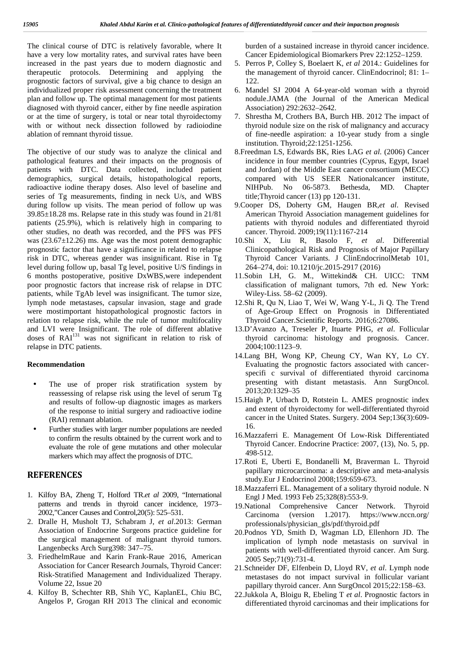The clinical course of DTC is relatively favorable, where It have a very low mortality rates, and survival rates have been increased in the past years due to modern diagnostic and therapeutic protocols. Determining and applying the prognostic factors of survival, give a big chance to design an individualized proper risk assessment concerning the treatment plan and follow up. The optimal management for most patients diagnosed with thyroid cancer, either by fine needle aspiration or at the time of surgery, is total or near total thyroidectomy with or without neck dissection followed by radioiodine ablation of remnant thyroid tissue.

The objective of our study was to analyze the clinical and pathological features and their impacts on the prognosis of patients with DTC. Data collected, included patient demographics, surgical details, histopathological reports, radioactive iodine therapy doses. Also level of baseline and MIHPub. series of Tg measurements, finding in neck U/s, and WBS during follow up visits. The mean period of follow up was 39.85±18.28 ms. Relapse rate in this study was found in 21/81 patients (25.9%), which is relatively high in comparing to other studies, no death was recorded, and the PFS was PFS was  $(23.67 \pm 12.26)$  ms. Age was the most potent demographic prognostic factor that have a significance in related to relapse risk in DTC, whereas gender was insignificant. Rise in Tg level during follow up, basal Tg level, positive U/S findings in 6 months postoperative, positive DxWBS,were independent poor prognostic factors that increase risk of relapse in DTC patients, while TgAb level was insignificant. The tumor size, lymph node metastases, capsular invasion, stage and grade were mostimportant histopathological prognostic factors in relation to relapse risk, while the rule of tumor multifocality and LVI were Insignificant. The role of different ablative doses of  $RAI<sup>131</sup>$  was not significant in relation to risk of relapse in DTC patients.

#### **Recommendation**

- The use of proper risk stratification system by reassessing of relapse risk using the level of serum Tg and results of follow-up diagnostic images as markers of the response to initial surgery and radioactive iodine (RAI) remnant ablation.
- Further studies with larger number populations are needed to confirm the results obtained by the current work and to evaluate the role of gene mutations and other molecular markers which may affect the prognosis of DTC.

### **REFERENCES**

- 1. Kilfoy BA, Zheng T, Holford TR.*et al* 2009, "International patterns and trends in thyroid cancer incidence, 1973– 2002,"Cancer Causes and Control,20(5): 525–531.
- 2. Dralle H, Musholt TJ, Schabram J, *et al*.2013: German Association of Endocrine Surgeons practice guideline for the surgical management of malignant thyroid tumors. Langenbecks Arch Surg398: 347–75.
- 3. FriedhelmRaue and Karin Frank-Raue 2016, American Association for Cancer Research Journals, Thyroid Cancer: Risk-Stratified Management and Individualized Therapy. Volume 22, Issue 20
- 4. Kilfoy B, Schechter RB, Shih YC, KaplanEL, Chiu BC, Angelos P, Grogan RH 2013 The clinical and economic

burden of a sustained increase in thyroid cancer incidence. Cancer Epidemiological Biomarkers Prev 22:1252–1259.

- 5. Perros P, Colley S, Boelaert K, *et al* 2014.: Guidelines for the management of thyroid cancer. ClinEndocrinol; 81: 1– 122.
- 6. Mandel SJ 2004 A 64-year-old woman with a thyroid nodule.JAMA (the Journal of the American Medical Association) 292:2632–2642.
- 7. Shrestha M, Crothers BA, Burch HB. 2012 The impact of thyroid nodule size on the risk of malignancy and accuracy of fine-needle aspiration: a 10-year study from a single institution. Thyroid;22:1251-1256.
- 8.Freedman LS, Edwards BK, Ries LAG *et al*. (2006) Cancer incidence in four member countries (Cyprus, Egypt, Israel and Jordan) of the Middle East cancer consortium (MECC) compared with US SEER Nationalcancer institute, No 06-5873. Bethesda, MD. Chapter title;Thyroid cancer (13) pp 120-131.
- 9.Cooper DS, Doherty GM, Haugen BR,*et al*. Revised American Thyroid Association management guidelines for patients with thyroid nodules and differentiated thyroid cancer. Thyroid. 2009;19(11):1167-214
- 10.Shi X, Liu R, Basolo F, *et al*. Differential Clinicopathological Risk and Prognosis of Major Papillary Thyroid Cancer Variants. J ClinEndocrinolMetab 101, 264–274, doi: 10.1210/jc.2015-2917 (2016)
- 11.Sobin LH, G. M., Wittekind& CH. UICC: TNM classification of malignant tumors, 7th ed. New York: Wiley-Liss. 58–62 (2009).
- 12.Shi R, Qu N, Liao T, Wei W, Wang Y-L, Ji Q. The Trend of Age-Group Effect on Prognosis in Differentiated Thyroid Cancer.Scientific Reports. 2016;6:27086.
- 13.D'Avanzo A, Treseler P, Ituarte PHG, *et al*. Follicular thyroid carcinoma: histology and prognosis. Cancer. 2004;100:1123–9.
- 14.Lang BH, Wong KP, Cheung CY, Wan KY, Lo CY. Evaluating the prognostic factors associated with cancer specifi c survival of differentiated thyroid carcinoma presenting with distant metastasis. Ann SurgOncol. 2013;20:1329–35
- 15.Haigh P, Urbach D, Rotstein L. AMES prognostic index and extent of thyroidectomy for well-differentiated thyroid cancer in the United States. Surgery. 2004 Sep;136(3):609- 16.
- 16.Mazzaferri E. Management Of Low-Risk Differentiated Thyroid Cancer. Endocrine Practice: 2007, (13), No. 5, pp. 498-512.
- 17.Roti E, Uberti E, Bondanelli M, Braverman L. Thyroid papillary microcarcinoma: a descriptive and meta-analysis study.Eur J Endocrinol 2008;159:659-673.
- 18.Mazzaferri EL. Management of a solitary thyroid nodule. N Engl J Med. 1993 Feb 25;328(8):553-9.
- 19.National Comprehensive Cancer Network. Thyroid  $(version \t1.2017)$ . https://www.nccn.org/ professionals/physician\_gls/pdf/thyroid.pdf
- 20.Podnos YD, Smith D, Wagman LD, Ellenhorn JD. The implication of lymph node metastasis on survival in patients with well-differentiated thyroid cancer. Am Surg. 2005 Sep;71(9):731-4.
- 21.Schneider DF, Elfenbein D, Lloyd RV, *et al*. Lymph node metastases do not impact survival in follicular variant papillary thyroid cancer. Ann SurgOncol 2015;22:158–63.
- 22.Jukkola A, Bloigu R, Ebeling T *et al*. Prognostic factors in differentiated thyroid carcinomas and their implications for